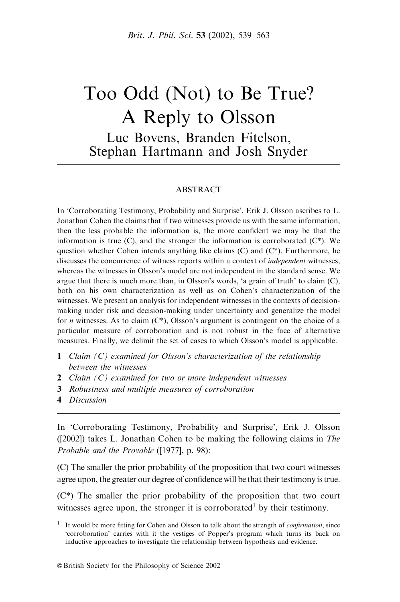# Too Odd (Not) to Be True? A Reply to Olsson Luc Bovens, Branden Fitelson, Stephan Hartmann and Josh Snyder

#### **ABSTRACT**

In 'Corroborating Testimony, Probability and Surprise', Erik J. Olsson ascribes to L. Jonathan Cohen the claims that if two witnesses provide us with the same information, then the less probable the information is, the more confident we may be that the information is true  $(C)$ , and the stronger the information is corroborated  $(C^*)$ . We question whether Cohen intends anything like claims  $(C)$  and  $(C^*)$ . Furthermore, he discusses the concurrence of witness reports within a context of independent witnesses, whereas the witnesses in Olsson's model are not independent in the standard sense. We argue that there is much more than, in Olsson's words, 'a grain of truth' to claim (C), both on his own characterization as well as on Cohen's characterization of the witnesses. We present an analysis for independent witnesses in the contexts of decisionmaking under risk and decision-making under uncertainty and generalize the model for *n* witnesses. As to claim  $(C^*)$ , Olsson's argument is contingent on the choice of a particular measure of corroboration and is not robust in the face of alternative measures. Finally, we delimit the set of cases to which Olsson's model is applicable.

- 1 Claim (C) examined for Olsson's characterization of the relationship between the witnesses
- **2** Claim  $(C)$  examined for two or more independent witnesses
- 3 Robustness and multiple measures of corroboration
- 4 Discussion

In 'Corroborating Testimony, Probability and Surprise', Erik J. Olsson ([2002]) takes L. Jonathan Cohen to be making the following claims in The Probable and the Provable ([1977], p. 98):

(C) The smaller the prior probability of the proposition that two court witnesses agree upon, the greater our degree of confidence will be that their testimony is true.

(C\*) The smaller the prior probability of the proposition that two court witnesses agree upon, the stronger it is corroborated<sup>1</sup> by their testimony.

<sup>&</sup>lt;sup>1</sup> It would be more fitting for Cohen and Olsson to talk about the strength of *confirmation*, since 'corroboration' carries with it the vestiges of Popper's program which turns its back on inductive approaches to investigate the relationship between hypothesis and evidence.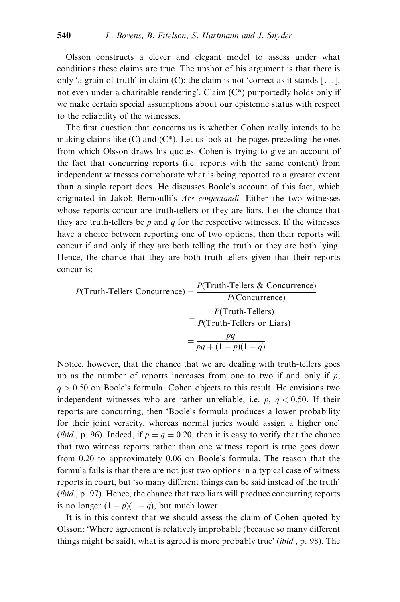Olsson constructs a clever and elegant model to assess under what conditions these claims are true. The upshot of his argument is that there is only 'a grain of truth' in claim (C): the claim is not 'correct as it stands  $[\dots]$ , not even under a charitable rendering'. Claim  $(C^*)$  purportedly holds only if we make certain special assumptions about our epistemic status with respect to the reliability of the witnesses.

The first question that concerns us is whether Cohen really intends to be making claims like  $(C)$  and  $(C^*)$ . Let us look at the pages preceding the ones from which Olsson draws his quotes. Cohen is trying to give an account of the fact that concurring reports (i.e. reports with the same content) from independent witnesses corroborate what is being reported to a greater extent than a single report does. He discusses Boole's account of this fact, which originated in Jakob Bernoulli's Ars conjectandi. Either the two witnesses whose reports concur are truth-tellers or they are liars. Let the chance that they are truth-tellers be  $p$  and  $q$  for the respective witnesses. If the witnesses have a choice between reporting one of two options, then their reports will concur if and only if they are both telling the truth or they are both lying. Hence, the chance that they are both truth-tellers given that their reports concur is:

$$
P(\text{Truth-Tellers}|\text{Concurrency}) = \frac{P(\text{Truth-Tellers & Concurrency})}{P(\text{Concurrency})}
$$
\n
$$
= \frac{P(\text{Truth-Tellers})}{P(\text{Truth-Tellers or Lians})}
$$
\n
$$
= \frac{pq}{pq + (1 - p)(1 - q)}
$$

Notice, however, that the chance that we are dealing with truth-tellers goes up as the number of reports increases from one to two if and only if  $p$ ,  $q > 0.50$  on Boole's formula. Cohen objects to this result. He envisions two independent witnesses who are rather unreliable, i.e.  $p, q < 0.50$ . If their reports are concurring, then 'Boole's formula produces a lower probability for their joint veracity, whereas normal juries would assign a higher one' (*ibid.*, p. 96). Indeed, if  $p = q = 0.20$ , then it is easy to verify that the chance that two witness reports rather than one witness report is true goes down from 0.20 to approximately 0.06 on Boole's formula. The reason that the formula fails is that there are not just two options in a typical case of witness reports in court, but 'so many different things can be said instead of the truth' (*ibid.*, p. 97). Hence, the chance that two liars will produce concurring reports is no longer  $(1 - p)(1 - q)$ , but much lower.

It is in this context that we should assess the claim of Cohen quoted by Olsson: 'Where agreement is relatively improbable (because so many different things might be said), what is agreed is more probably true' (ibid., p. 98). The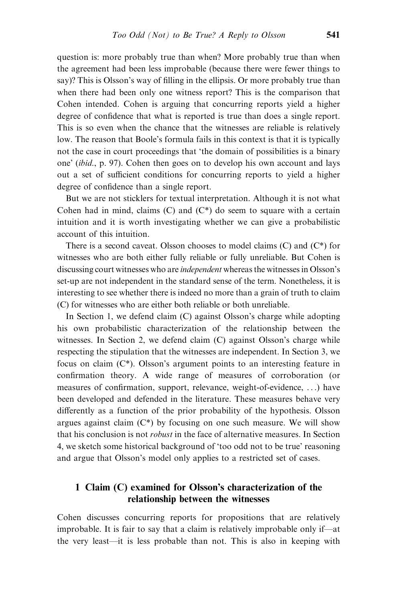question is: more probably true than when? More probably true than when the agreement had been less improbable (because there were fewer things to say)? This is Olsson's way of filling in the ellipsis. Or more probably true than when there had been only one witness report? This is the comparison that Cohen intended. Cohen is arguing that concurring reports yield a higher degree of confidence that what is reported is true than does a single report. This is so even when the chance that the witnesses are reliable is relatively low. The reason that Boole's formula fails in this context is that it is typically not the case in court proceedings that 'the domain of possibilities is a binary one' (ibid., p. 97). Cohen then goes on to develop his own account and lays out a set of sufficient conditions for concurring reports to yield a higher degree of confidence than a single report.

But we are not sticklers for textual interpretation. Although it is not what Cohen had in mind, claims  $(C)$  and  $(C^*)$  do seem to square with a certain intuition and it is worth investigating whether we can give a probabilistic account of this intuition.

There is a second caveat. Olsson chooses to model claims  $(C)$  and  $(C^*)$  for witnesses who are both either fully reliable or fully unreliable. But Cohen is discussing court witnesses who are independent whereas the witnesses in Olsson's set-up are not independent in the standard sense of the term. Nonetheless, it is interesting to see whether there is indeed no more than a grain of truth to claim (C) for witnesses who are either both reliable or both unreliable.

In Section 1, we defend claim (C) against Olsson's charge while adopting his own probabilistic characterization of the relationship between the witnesses. In Section 2, we defend claim (C) against Olsson's charge while respecting the stipulation that the witnesses are independent. In Section 3, we focus on claim  $(C^*)$ . Olsson's argument points to an interesting feature in confirmation theory. A wide range of measures of corroboration (or measures of confirmation, support, relevance, weight-of-evidence, . . .) have been developed and defended in the literature. These measures behave very differently as a function of the prior probability of the hypothesis. Olsson argues against claim  $(C^*)$  by focusing on one such measure. We will show that his conclusion is not robust in the face of alternative measures. In Section 4, we sketch some historical background of 'too odd not to be true' reasoning and argue that Olsson's model only applies to a restricted set of cases.

# 1 Claim (C) examined for Olsson's characterization of the relationship between the witnesses

Cohen discusses concurring reports for propositions that are relatively improbable. It is fair to say that a claim is relatively improbable only if—at the very least—it is less probable than not. This is also in keeping with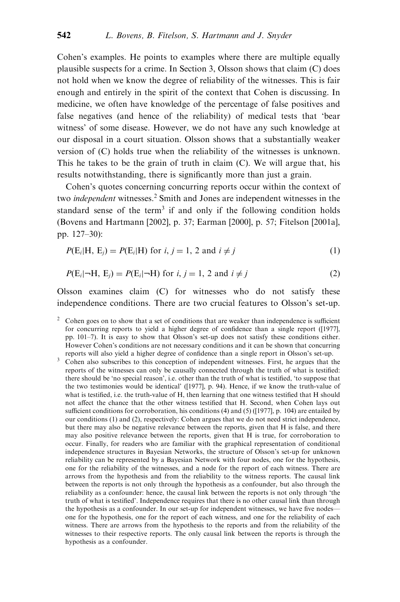Cohen's examples. He points to examples where there are multiple equally plausible suspects for a crime. In Section 3, Olsson shows that claim (C) does not hold when we know the degree of reliability of the witnesses. This is fair enough and entirely in the spirit of the context that Cohen is discussing. In medicine, we often have knowledge of the percentage of false positives and false negatives (and hence of the reliability) of medical tests that 'bear witness' of some disease. However, we do not have any such knowledge at our disposal in a court situation. Olsson shows that a substantially weaker version of (C) holds true when the reliability of the witnesses is unknown. This he takes to be the grain of truth in claim (C). We will argue that, his results notwithstanding, there is significantly more than just a grain.

Cohen's quotes concerning concurring reports occur within the context of two *independent* witnesses.<sup>2</sup> Smith and Jones are independent witnesses in the standard sense of the term<sup>3</sup> if and only if the following condition holds (Bovens and Hartmann [2002], p. 37; Earman [2000], p. 57; Fitelson [2001a], pp. 127–30):

$$
P(Ei|H, Ej) = P(Ei|H) for i, j = 1, 2 and i \neq j
$$
 (1)

$$
P(\mathbf{E}_i|\neg\mathbf{H},\,\mathbf{E}_j) = P(\mathbf{E}_i|\neg\mathbf{H}) \text{ for } i, j = 1, 2 \text{ and } i \neq j \tag{2}
$$

Olsson examines claim (C) for witnesses who do not satisfy these independence conditions. There are two crucial features to Olsson's set-up.

<sup>3</sup> Cohen also subscribes to this conception of independent witnesses. First, he argues that the reports of the witnesses can only be causally connected through the truth of what is testified: there should be 'no special reason', i.e. other than the truth of what is testified, 'to suppose that the two testimonies would be identical' ([1977], p. 94). Hence, if we know the truth-value of what is testified, i.e. the truth-value of H, then learning that one witness testified that H should not affect the chance that the other witness testified that H. Second, when Cohen lays out sufficient conditions for corroboration, his conditions (4) and (5) ([1977], p. 104) are entailed by our conditions (1) and (2), respectively: Cohen argues that we do not need strict independence, but there may also be negative relevance between the reports, given that H is false, and there may also positive relevance between the reports, given that H is true, for corroboration to occur. Finally, for readers who are familiar with the graphical representation of conditional independence structures in Bayesian Networks, the structure of Olsson's set-up for unknown reliability can be represented by a Bayesian Network with four nodes, one for the hypothesis, one for the reliability of the witnesses, and a node for the report of each witness. There are arrows from the hypothesis and from the reliability to the witness reports. The causal link between the reports is not only through the hypothesis as a confounder, but also through the reliability as a confounder: hence, the causal link between the reports is not only through 'the truth of what is testified'. Independence requires that there is no other causal link than through the hypothesis as a confounder. In our set-up for independent witnesses, we have five nodes one for the hypothesis, one for the report of each witness, and one for the reliability of each witness. There are arrows from the hypothesis to the reports and from the reliability of the witnesses to their respective reports. The only causal link between the reports is through the hypothesis as a confounder.

 $2^{\circ}$  Cohen goes on to show that a set of conditions that are weaker than independence is sufficient for concurring reports to yield a higher degree of confidence than a single report ([1977], pp. 101–7). It is easy to show that Olsson's set-up does not satisfy these conditions either. However Cohen's conditions are not necessary conditions and it can be shown that concurring reports will also yield a higher degree of confidence than a single report in Olsson's set-up.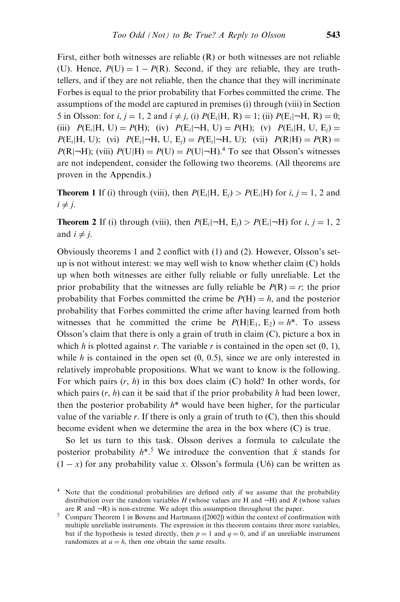First, either both witnesses are reliable (R) or both witnesses are not reliable (U). Hence,  $P(U) = 1 - P(R)$ . Second, if they are reliable, they are truthtellers, and if they are not reliable, then the chance that they will incriminate Forbes is equal to the prior probability that Forbes committed the crime. The assumptions of the model are captured in premises (i) through (viii) in Section 5 in Olsson: for *i*,  $j = 1$ , 2 and  $i \neq j$ , (i)  $P(E_i|H, R) = 1$ ; (ii)  $P(E_i|\neg H, R) = 0$ ; (iii)  $P(E_i|H, U) = P(H)$ ; (iv)  $P(E_i|\neg H, U) = P(H)$ ; (v)  $P(E_i|H, U, E_i) =$  $P(E_i|H, U)$ ; (vi)  $P(E_i|\neg H, U, E_i) = P(E_i|\neg H, U)$ ; (vii)  $P(R|H) = P(R) =$  $P(R|\neg H)$ ; (viii)  $P(U|H) = P(U) = P(U|\neg H)$ .<sup>4</sup> To see that Olsson's witnesses are not independent, consider the following two theorems. (All theorems are proven in the Appendix.)

**Theorem 1** If (i) through (viii), then  $P(E_i|H, E_i) > P(E_i|H)$  for i, j = 1, 2 and  $i \neq j$ .

**Theorem 2** If (i) through (viii), then  $P(E_i|\neg H, E_j) > P(E_i|\neg H)$  for i, j = 1, 2 and  $i \neq j$ .

Obviously theorems 1 and 2 conflict with (1) and (2). However, Olsson's setup is not without interest: we may well wish to know whether claim (C) holds up when both witnesses are either fully reliable or fully unreliable. Let the prior probability that the witnesses are fully reliable be  $P(R) = r$ ; the prior probability that Forbes committed the crime be  $P(H) = h$ , and the posterior probability that Forbes committed the crime after having learned from both witnesses that he committed the crime be  $P(H|E_1, E_2) = h^*$ . To assess Olsson's claim that there is only a grain of truth in claim (C), picture a box in which h is plotted against r. The variable r is contained in the open set  $(0, 1)$ , while h is contained in the open set  $(0, 0.5)$ , since we are only interested in relatively improbable propositions. What we want to know is the following. For which pairs  $(r, h)$  in this box does claim  $(C)$  hold? In other words, for which pairs  $(r, h)$  can it be said that if the prior probability h had been lower, then the posterior probability  $h^*$  would have been higher, for the particular value of the variable  $r$ . If there is only a grain of truth to  $(C)$ , then this should become evident when we determine the area in the box where (C) is true.

So let us turn to this task. Olsson derives a formula to calculate the posterior probability  $h^{*5}$ . We introduce the convention that  $\bar{x}$  stands for  $(1 - x)$  for any probability value x. Olsson's formula (U6) can be written as

<sup>4</sup> Note that the conditional probabilities are defined only if we assume that the probability distribution over the random variables H (whose values are H and  $-H$ ) and R (whose values are  $R$  and  $\neg R$ ) is non-extreme. We adopt this assumption throughout the paper.

<sup>5</sup> Compare Theorem 1 in Bovens and Hartmann ([2002]) within the context of confirmation with multiple unreliable instruments. The expression in this theorem contains three more variables, but if the hypothesis is tested directly, then  $p = 1$  and  $q = 0$ , and if an unreliable instrument randomizes at  $a = h$ , then one obtain the same results.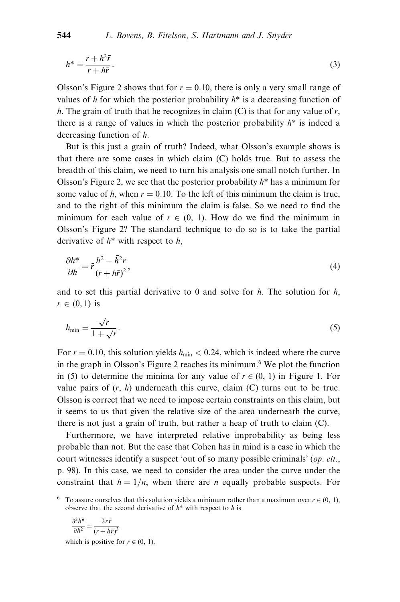$$
h^* = \frac{r + h^2 \bar{r}}{r + h \bar{r}}.
$$
\n<sup>(3)</sup>

Olsson's Figure 2 shows that for  $r = 0.10$ , there is only a very small range of values of h for which the posterior probability  $h^*$  is a decreasing function of h. The grain of truth that he recognizes in claim  $(C)$  is that for any value of r, there is a range of values in which the posterior probability  $h^*$  is indeed a decreasing function of h.

But is this just a grain of truth? Indeed, what Olsson's example shows is that there are some cases in which claim (C) holds true. But to assess the breadth of this claim, we need to turn his analysis one small notch further. In Olsson's Figure 2, we see that the posterior probability  $h^*$  has a minimum for some value of h, when  $r = 0.10$ . To the left of this minimum the claim is true, and to the right of this minimum the claim is false. So we need to find the minimum for each value of  $r \in (0, 1)$ . How do we find the minimum in Olsson's Figure 2? The standard technique to do so is to take the partial derivative of  $h^*$  with respect to  $h$ ,

$$
\frac{\partial h^*}{\partial h} = \bar{r} \frac{h^2 - \bar{h}^2 r}{(r + h\bar{r})^2},\tag{4}
$$

and to set this partial derivative to 0 and solve for  $h$ . The solution for  $h$ ,  $r \in (0, 1)$  is

$$
h_{\min} = \frac{\sqrt{r}}{1 + \sqrt{r}}.\tag{5}
$$

For  $r = 0.10$ , this solution yields  $h_{\text{min}} < 0.24$ , which is indeed where the curve in the graph in Olsson's Figure 2 reaches its minimum.<sup>6</sup> We plot the function in (5) to determine the minima for any value of  $r \in (0, 1)$  in Figure 1. For value pairs of  $(r, h)$  underneath this curve, claim  $(C)$  turns out to be true. Olsson is correct that we need to impose certain constraints on this claim, but it seems to us that given the relative size of the area underneath the curve, there is not just a grain of truth, but rather a heap of truth to claim (C).

Furthermore, we have interpreted relative improbability as being less probable than not. But the case that Cohen has in mind is a case in which the court witnesses identify a suspect 'out of so many possible criminals' (op. cit., p. 98). In this case, we need to consider the area under the curve under the constraint that  $h = 1/n$ , when there are *n* equally probable suspects. For

$$
\frac{\partial^2 h^*}{\partial h^2} = \frac{2r\bar{r}}{(r + h\bar{r})^3}
$$

which is positive for  $r \in (0, 1)$ .

<sup>&</sup>lt;sup>6</sup> To assure ourselves that this solution yields a minimum rather than a maximum over  $r \in (0, 1)$ , observe that the second derivative of  $h^*$  with respect to h is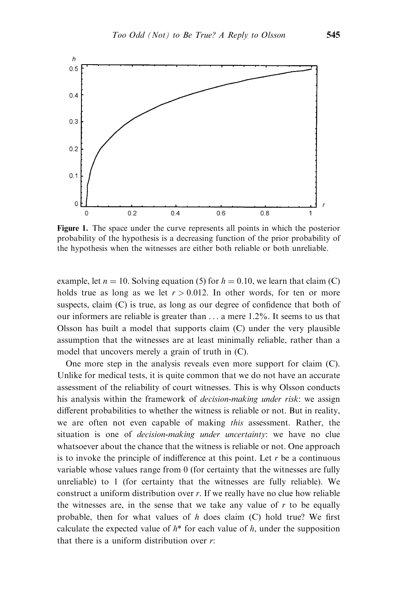

Figure 1. The space under the curve represents all points in which the posterior probability of the hypothesis is a decreasing function of the prior probability of the hypothesis when the witnesses are either both reliable or both unreliable.

example, let  $n = 10$ . Solving equation (5) for  $h = 0.10$ , we learn that claim (C) holds true as long as we let  $r > 0.012$ . In other words, for ten or more suspects, claim (C) is true, as long as our degree of confidence that both of our informers are reliable is greater than . . . a mere 1.2%. It seems to us that Olsson has built a model that supports claim (C) under the very plausible assumption that the witnesses are at least minimally reliable, rather than a model that uncovers merely a grain of truth in (C).

One more step in the analysis reveals even more support for claim (C). Unlike for medical tests, it is quite common that we do not have an accurate assessment of the reliability of court witnesses. This is why Olsson conducts his analysis within the framework of *decision-making under risk*: we assign different probabilities to whether the witness is reliable or not. But in reality, we are often not even capable of making *this* assessment. Rather, the situation is one of *decision-making under uncertainty*: we have no clue whatsoever about the chance that the witness is reliable or not. One approach is to invoke the principle of indifference at this point. Let  $r$  be a continuous variable whose values range from 0 (for certainty that the witnesses are fully unreliable) to 1 (for certainty that the witnesses are fully reliable). We construct a uniform distribution over r. If we really have no clue how reliable the witnesses are, in the sense that we take any value of  $r$  to be equally probable, then for what values of  $h$  does claim (C) hold true? We first calculate the expected value of  $h^*$  for each value of h, under the supposition that there is a uniform distribution over r: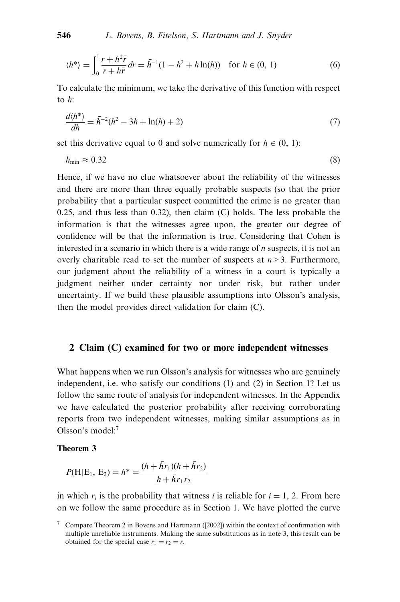$$
\langle h^* \rangle = \int_0^1 \frac{r + h^2 \bar{r}}{r + h \bar{r}} dr = \bar{h}^{-1} (1 - h^2 + h \ln(h)) \quad \text{for } h \in (0, 1)
$$
 (6)

To calculate the minimum, we take the derivative of this function with respect to  $h$ .

$$
\frac{d\langle h^* \rangle}{dh} = \bar{h}^{-2}(h^2 - 3h + \ln(h) + 2)
$$
 (7)

set this derivative equal to 0 and solve numerically for  $h \in (0, 1)$ :

$$
h_{\min} \approx 0.32\tag{8}
$$

Hence, if we have no clue whatsoever about the reliability of the witnesses and there are more than three equally probable suspects (so that the prior probability that a particular suspect committed the crime is no greater than 0.25, and thus less than 0.32), then claim (C) holds. The less probable the information is that the witnesses agree upon, the greater our degree of confidence will be that the information is true. Considering that Cohen is interested in a scenario in which there is a wide range of  $n$  suspects, it is not an overly charitable read to set the number of suspects at  $n > 3$ . Furthermore, our judgment about the reliability of a witness in a court is typically a judgment neither under certainty nor under risk, but rather under uncertainty. If we build these plausible assumptions into Olsson's analysis, then the model provides direct validation for claim (C).

#### 2 Claim (C) examined for two or more independent witnesses

What happens when we run Olsson's analysis for witnesses who are genuinely independent, i.e. who satisfy our conditions (1) and (2) in Section 1? Let us follow the same route of analysis for independent witnesses. In the Appendix we have calculated the posterior probability after receiving corroborating reports from two independent witnesses, making similar assumptions as in Olsson's model:<sup>7</sup>

#### Theorem 3

$$
P(H|E_1, E_2) = h^* = \frac{(h + \bar{h}r_1)(h + \bar{h}r_2)}{h + \bar{h}r_1r_2}
$$

in which  $r_i$  is the probability that witness i is reliable for  $i = 1, 2$ . From here on we follow the same procedure as in Section 1. We have plotted the curve

 $7$  Compare Theorem 2 in Bovens and Hartmann ([2002]) within the context of confirmation with multiple unreliable instruments. Making the same substitutions as in note 3, this result can be obtained for the special case  $r_1 = r_2 = r$ .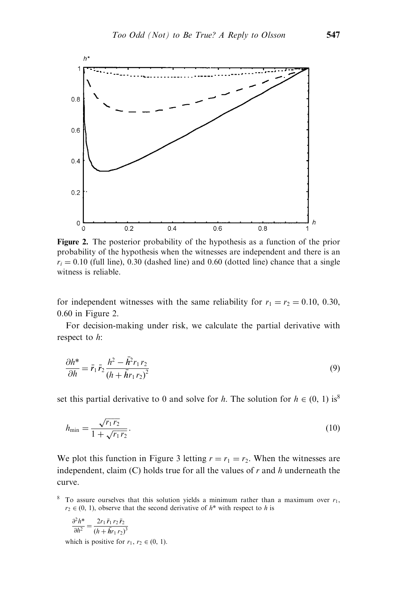

Figure 2. The posterior probability of the hypothesis as a function of the prior probability of the hypothesis when the witnesses are independent and there is an  $r_i = 0.10$  (full line), 0.30 (dashed line) and 0.60 (dotted line) chance that a single witness is reliable.

for independent witnesses with the same reliability for  $r_1 = r_2 = 0.10, 0.30,$ 0.60 in Figure 2.

For decision-making under risk, we calculate the partial derivative with respect to h:

$$
\frac{\partial h^*}{\partial h} = \bar{r}_1 \bar{r}_2 \frac{h^2 - \bar{h}^2 r_1 r_2}{\left(h + \bar{h}r_1 r_2\right)^2} \tag{9}
$$

set this partial derivative to 0 and solve for h. The solution for  $h \in (0, 1)$  is<sup>8</sup>

$$
h_{\min} = \frac{\sqrt{r_1 r_2}}{1 + \sqrt{r_1 r_2}}.\tag{10}
$$

We plot this function in Figure 3 letting  $r = r_1 = r_2$ . When the witnesses are independent, claim  $(C)$  holds true for all the values of r and h underneath the curve.

$$
\frac{\partial^2 h^*}{\partial h^2} = \frac{2r_1 \,\bar{r}_1 \, r_2 \,\bar{r}_2}{\left(h + \bar{h}r_1 \, r_2\right)^3}
$$

which is positive for  $r_1, r_2 \in (0, 1)$ .

<sup>&</sup>lt;sup>8</sup> To assure ourselves that this solution yields a minimum rather than a maximum over  $r_1$ ,  $r_2 \in (0, 1)$ , observe that the second derivative of  $h^*$  with respect to h is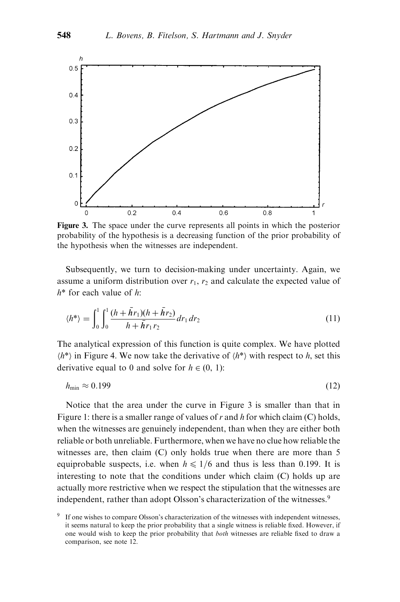

Figure 3. The space under the curve represents all points in which the posterior probability of the hypothesis is a decreasing function of the prior probability of the hypothesis when the witnesses are independent.

Subsequently, we turn to decision-making under uncertainty. Again, we assume a uniform distribution over  $r_1$ ,  $r_2$  and calculate the expected value of  $h^*$  for each value of h:

$$
\langle h^* \rangle = \int_0^1 \int_0^1 \frac{(h + \bar{h}r_1)(h + \bar{h}r_2)}{h + \bar{h}r_1r_2} dr_1 dr_2 \tag{11}
$$

The analytical expression of this function is quite complex. We have plotted  $\langle h^* \rangle$  in Figure 4. We now take the derivative of  $\langle h^* \rangle$  with respect to h, set this derivative equal to 0 and solve for  $h \in (0, 1)$ :

$$
h_{\min} \approx 0.199 \tag{12}
$$

Notice that the area under the curve in Figure 3 is smaller than that in Figure 1: there is a smaller range of values of r and h for which claim  $(C)$  holds, when the witnesses are genuinely independent, than when they are either both reliable or both unreliable. Furthermore, when we have no clue how reliable the witnesses are, then claim (C) only holds true when there are more than 5 equiprobable suspects, i.e. when  $h \leq 1/6$  and thus is less than 0.199. It is interesting to note that the conditions under which claim (C) holds up are actually more restrictive when we respect the stipulation that the witnesses are independent, rather than adopt Olsson's characterization of the witnesses.<sup>9</sup>

If one wishes to compare Olsson's characterization of the witnesses with independent witnesses, it seems natural to keep the prior probability that a single witness is reliable fixed. However, if one would wish to keep the prior probability that both witnesses are reliable fixed to draw a comparison, see note 12.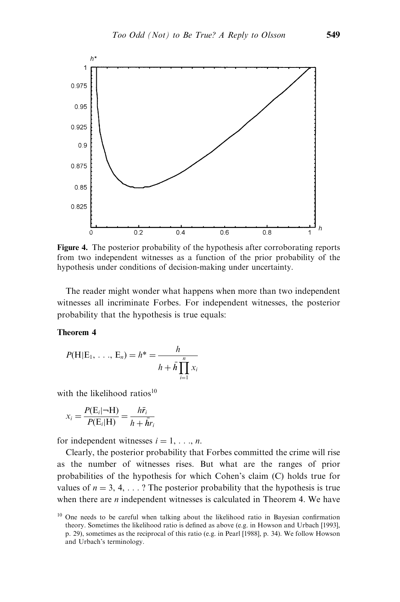

Figure 4. The posterior probability of the hypothesis after corroborating reports from two independent witnesses as a function of the prior probability of the hypothesis under conditions of decision-making under uncertainty.

The reader might wonder what happens when more than two independent witnesses all incriminate Forbes. For independent witnesses, the posterior probability that the hypothesis is true equals:

#### Theorem 4

$$
P(H|E_1, ..., E_n) = h^* = \frac{h}{h + \bar{h} \prod_{i=1}^n x_i}
$$

with the likelihood ratios $10$ 

$$
x_i = \frac{P(E_i|\neg H)}{P(E_i|H)} = \frac{h\bar{r}_i}{h + \bar{h}r_i}
$$

for independent witnesses  $i = 1, \ldots, n$ .

Clearly, the posterior probability that Forbes committed the crime will rise as the number of witnesses rises. But what are the ranges of prior probabilities of the hypothesis for which Cohen's claim (C) holds true for values of  $n = 3, 4, \ldots$ ? The posterior probability that the hypothesis is true when there are  $n$  independent witnesses is calculated in Theorem 4. We have

<sup>&</sup>lt;sup>10</sup> One needs to be careful when talking about the likelihood ratio in Bayesian confirmation theory. Sometimes the likelihood ratio is defined as above (e.g. in Howson and Urbach [1993], p. 29), sometimes as the reciprocal of this ratio (e.g. in Pearl [1988], p. 34). We follow Howson and Urbach's terminology.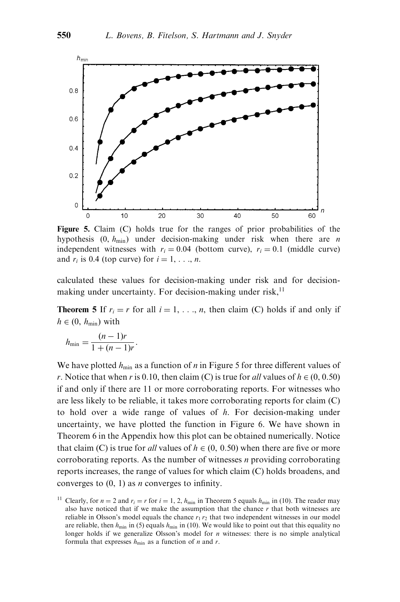

Figure 5. Claim (C) holds true for the ranges of prior probabilities of the hypothesis  $(0, h_{\text{min}})$  under decision-making under risk when there are *n* independent witnesses with  $r_i = 0.04$  (bottom curve),  $r_i = 0.1$  (middle curve) and  $r_i$  is 0.4 (top curve) for  $i = 1, \ldots, n$ .

calculated these values for decision-making under risk and for decisionmaking under uncertainty. For decision-making under risk, $<sup>11</sup>$ </sup>

**Theorem 5** If  $r_i = r$  for all  $i = 1, \ldots, n$ , then claim (C) holds if and only if  $h \in (0, h_{\min})$  with

$$
h_{\min} = \frac{(n-1)r}{1+(n-1)r}.
$$

We have plotted  $h_{\min}$  as a function of *n* in Figure 5 for three different values of r. Notice that when r is 0.10, then claim (C) is true for all values of  $h \in (0, 0.50)$ if and only if there are 11 or more corroborating reports. For witnesses who are less likely to be reliable, it takes more corroborating reports for claim (C) to hold over a wide range of values of  $h$ . For decision-making under uncertainty, we have plotted the function in Figure 6. We have shown in Theorem 6 in the Appendix how this plot can be obtained numerically. Notice that claim (C) is true for *all* values of  $h \in (0, 0.50)$  when there are five or more corroborating reports. As the number of witnesses  $n$  providing corroborating reports increases, the range of values for which claim (C) holds broadens, and converges to  $(0, 1)$  as *n* converges to infinity.

<sup>&</sup>lt;sup>11</sup> Clearly, for  $n = 2$  and  $r_i = r$  for  $i = 1, 2, h_{min}$  in Theorem 5 equals  $h_{min}$  in (10). The reader may also have noticed that if we make the assumption that the chance  $r$  that both witnesses are reliable in Olsson's model equals the chance  $r_1 r_2$  that two independent witnesses in our model are reliable, then  $h_{\text{min}}$  in (5) equals  $h_{\text{min}}$  in (10). We would like to point out that this equality no longer holds if we generalize Olsson's model for  $n$  witnesses: there is no simple analytical formula that expresses  $h_{\min}$  as a function of *n* and *r*.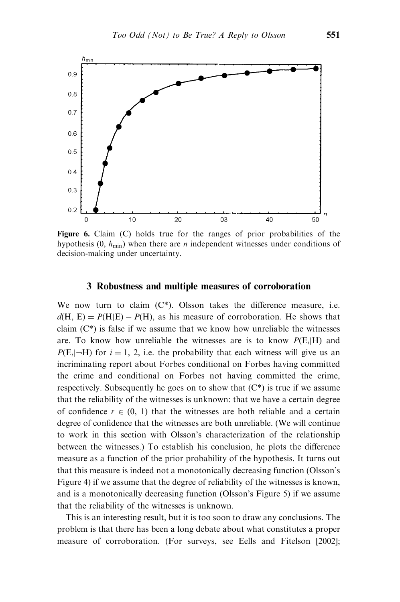

Figure 6. Claim (C) holds true for the ranges of prior probabilities of the hypothesis  $(0, h_{min})$  when there are *n* independent witnesses under conditions of decision-making under uncertainty.

#### 3 Robustness and multiple measures of corroboration

We now turn to claim  $(C^*)$ . Olsson takes the difference measure, i.e.  $d(H, E) = P(H|E) - P(H)$ , as his measure of corroboration. He shows that claim  $(C^*)$  is false if we assume that we know how unreliable the witnesses are. To know how unreliable the witnesses are is to know  $P(E_i|H)$  and  $P(E_i|\neg H)$  for  $i = 1, 2$ , i.e. the probability that each witness will give us an incriminating report about Forbes conditional on Forbes having committed the crime and conditional on Forbes not having committed the crime, respectively. Subsequently he goes on to show that  $(C^*)$  is true if we assume that the reliability of the witnesses is unknown: that we have a certain degree of confidence  $r \in (0, 1)$  that the witnesses are both reliable and a certain degree of confidence that the witnesses are both unreliable. (We will continue to work in this section with Olsson's characterization of the relationship between the witnesses.) To establish his conclusion, he plots the difference measure as a function of the prior probability of the hypothesis. It turns out that this measure is indeed not a monotonically decreasing function (Olsson's Figure 4) if we assume that the degree of reliability of the witnesses is known, and is a monotonically decreasing function (Olsson's Figure 5) if we assume that the reliability of the witnesses is unknown.

This is an interesting result, but it is too soon to draw any conclusions. The problem is that there has been a long debate about what constitutes a proper measure of corroboration. (For surveys, see Eells and Fitelson [2002];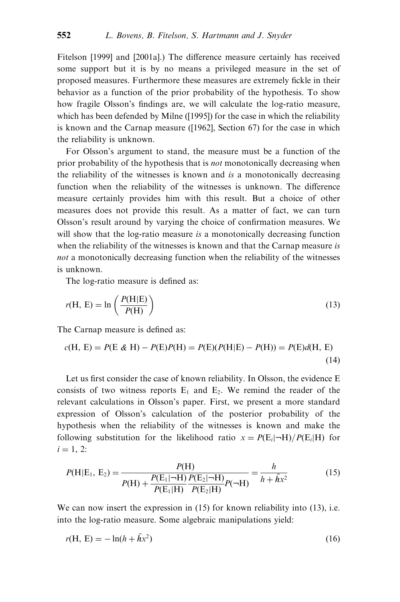Fitelson [1999] and [2001a].) The difference measure certainly has received some support but it is by no means a privileged measure in the set of proposed measures. Furthermore these measures are extremely fickle in their behavior as a function of the prior probability of the hypothesis. To show how fragile Olsson's findings are, we will calculate the log-ratio measure, which has been defended by Milne ([1995]) for the case in which the reliability is known and the Carnap measure ([1962], Section 67) for the case in which the reliability is unknown.

For Olsson's argument to stand, the measure must be a function of the prior probability of the hypothesis that is *not* monotonically decreasing when the reliability of the witnesses is known and is a monotonically decreasing function when the reliability of the witnesses is unknown. The difference measure certainly provides him with this result. But a choice of other measures does not provide this result. As a matter of fact, we can turn Olsson's result around by varying the choice of confirmation measures. We will show that the log-ratio measure is a monotonically decreasing function when the reliability of the witnesses is known and that the Carnap measure is not a monotonically decreasing function when the reliability of the witnesses is unknown.

The log-ratio measure is defined as:

$$
r(H, E) = \ln\left(\frac{P(H|E)}{P(H)}\right)
$$
\n(13)

The Carnap measure is defined as:

$$
c(H, E) = P(E \& H) - P(E)P(H) = P(E)(P(H|E) - P(H)) = P(E)d(H, E)
$$
\n(14)

Let us first consider the case of known reliability. In Olsson, the evidence E consists of two witness reports  $E_1$  and  $E_2$ . We remind the reader of the relevant calculations in Olsson's paper. First, we present a more standard expression of Olsson's calculation of the posterior probability of the hypothesis when the reliability of the witnesses is known and make the following substitution for the likelihood ratio  $x = P(E_i|-\text{H})/P(E_i|\text{H})$  for  $i = 1, 2$ :

$$
P(H|E_1, E_2) = \frac{P(H)}{P(H) + \frac{P(E_1|\neg H)}{P(E_1|H)}\frac{P(E_2|\neg H)}{P(E_2|H)}P(\neg H)} = \frac{h}{h + \bar{h}x^2}
$$
(15)

We can now insert the expression in (15) for known reliability into (13), i.e. into the log-ratio measure. Some algebraic manipulations yield:

$$
r(H, E) = -\ln(h + \bar{h}x^2)
$$
 (16)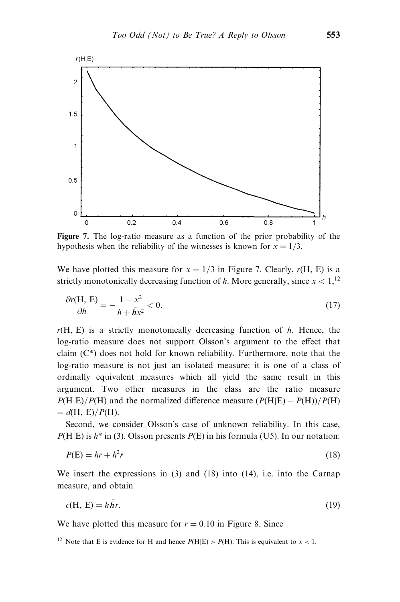

Figure 7. The log-ratio measure as a function of the prior probability of the hypothesis when the reliability of the witnesses is known for  $x = 1/3$ .

We have plotted this measure for  $x = 1/3$  in Figure 7. Clearly,  $r(H, E)$  is a strictly monotonically decreasing function of h. More generally, since  $x < 1$ ,  $^{12}$ 

$$
\frac{\partial r(\mathbf{H}, \mathbf{E})}{\partial h} = -\frac{1 - x^2}{h + \bar{h}x^2} < 0. \tag{17}
$$

 $r(H, E)$  is a strictly monotonically decreasing function of h. Hence, the log-ratio measure does not support Olsson's argument to the effect that claim (C\*) does not hold for known reliability. Furthermore, note that the log-ratio measure is not just an isolated measure: it is one of a class of ordinally equivalent measures which all yield the same result in this argument. Two other measures in the class are the ratio measure  $P(H|E)/P(H)$  and the normalized difference measure  $(P(H|E) - P(H))/P(H)$  $= d(H, E)/P(H)$ .

Second, we consider Olsson's case of unknown reliability. In this case,  $P(H|E)$  is  $h^*$  in (3). Olsson presents  $P(E)$  in his formula (U5). In our notation:

$$
P(E) = hr + h^2 \bar{r}
$$
\n<sup>(18)</sup>

We insert the expressions in (3) and (18) into (14), i.e. into the Carnap measure, and obtain

$$
c(H, E) = h\bar{h}r.
$$
 (19)

We have plotted this measure for  $r = 0.10$  in Figure 8. Since

<sup>&</sup>lt;sup>12</sup> Note that E is evidence for H and hence  $P(H|E) > P(H)$ . This is equivalent to  $x < 1$ .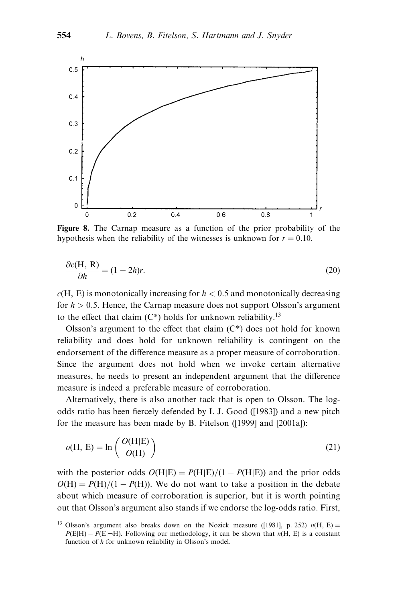

Figure 8. The Carnap measure as a function of the prior probability of the hypothesis when the reliability of the witnesses is unknown for  $r = 0.10$ .

$$
\frac{\partial c(\mathbf{H}, \mathbf{R})}{\partial h} = (1 - 2h)r.
$$
\n(20)

 $c(H, E)$  is monotonically increasing for  $h < 0.5$  and monotonically decreasing for  $h > 0.5$ . Hence, the Carnap measure does not support Olsson's argument to the effect that claim  $(C^*)$  holds for unknown reliability.<sup>13</sup>

Olsson's argument to the effect that claim  $(C^*)$  does not hold for known reliability and does hold for unknown reliability is contingent on the endorsement of the difference measure as a proper measure of corroboration. Since the argument does not hold when we invoke certain alternative measures, he needs to present an independent argument that the difference measure is indeed a preferable measure of corroboration.

Alternatively, there is also another tack that is open to Olsson. The logodds ratio has been fiercely defended by I. J. Good ([1983]) and a new pitch for the measure has been made by B. Fitelson ([1999] and [2001a]):

$$
o(H, E) = \ln\left(\frac{O(H|E)}{O(H)}\right)
$$
\n(21)

with the posterior odds  $O(H|E) = P(H|E)/(1 - P(H|E))$  and the prior odds  $O(H) = P(H)/(1 - P(H))$ . We do not want to take a position in the debate about which measure of corroboration is superior, but it is worth pointing out that Olsson's argument also stands if we endorse the log-odds ratio. First,

<sup>&</sup>lt;sup>13</sup> Olsson's argument also breaks down on the Nozick measure ([1981], p. 252)  $n(H, E) =$  $P(E|H) - P(E|\neg H)$ . Following our methodology, it can be shown that  $n(H, E)$  is a constant function of h for unknown reliability in Olsson's model.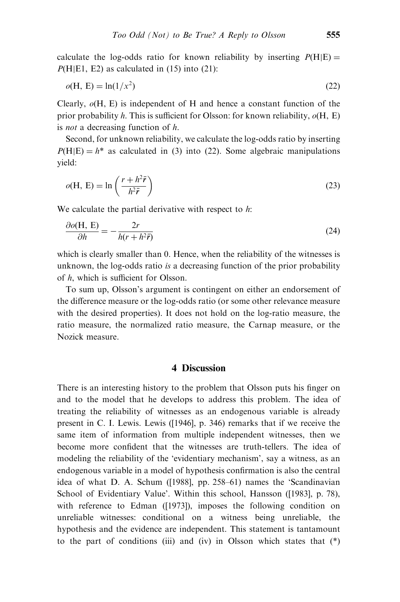calculate the log-odds ratio for known reliability by inserting  $P(H|E) =$  $P(H|E1, E2)$  as calculated in (15) into (21):

$$
o(\mathbf{H}, \mathbf{E}) = \ln(1/x^2) \tag{22}
$$

Clearly,  $\rho$ (H, E) is independent of H and hence a constant function of the prior probability h. This is sufficient for Olsson: for known reliability,  $\rho(H, E)$ is not a decreasing function of h.

Second, for unknown reliability, we calculate the log-odds ratio by inserting  $P(H|E) = h^*$  as calculated in (3) into (22). Some algebraic manipulations yield:

$$
o(H, E) = \ln\left(\frac{r + h^2 \bar{r}}{h^2 \bar{r}}\right)
$$
\n(23)

We calculate the partial derivative with respect to  $h$ :

$$
\frac{\partial o(\mathbf{H}, \mathbf{E})}{\partial h} = -\frac{2r}{h(r + h^2 \vec{r})}
$$
(24)

which is clearly smaller than 0. Hence, when the reliability of the witnesses is unknown, the log-odds ratio is a decreasing function of the prior probability of h, which is sufficient for Olsson.

To sum up, Olsson's argument is contingent on either an endorsement of the difference measure or the log-odds ratio (or some other relevance measure with the desired properties). It does not hold on the log-ratio measure, the ratio measure, the normalized ratio measure, the Carnap measure, or the Nozick measure.

## 4 Discussion

There is an interesting history to the problem that Olsson puts his finger on and to the model that he develops to address this problem. The idea of treating the reliability of witnesses as an endogenous variable is already present in C. I. Lewis. Lewis ([1946], p. 346) remarks that if we receive the same item of information from multiple independent witnesses, then we become more confident that the witnesses are truth-tellers. The idea of modeling the reliability of the 'evidentiary mechanism', say a witness, as an endogenous variable in a model of hypothesis confirmation is also the central idea of what D. A. Schum ([1988], pp. 258–61) names the 'Scandinavian School of Evidentiary Value'. Within this school, Hansson ([1983], p. 78), with reference to Edman ([1973]), imposes the following condition on unreliable witnesses: conditional on a witness being unreliable, the hypothesis and the evidence are independent. This statement is tantamount to the part of conditions (iii) and (iv) in Olsson which states that  $(*)$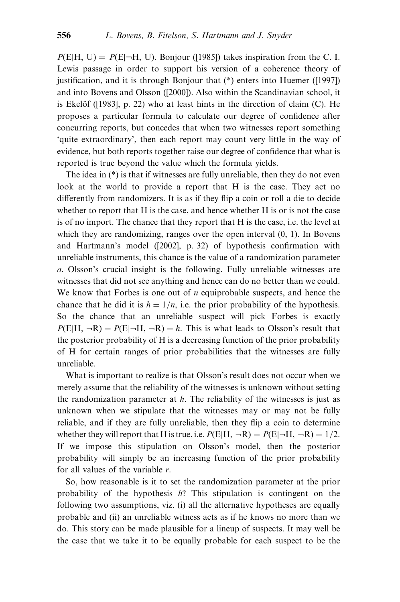$P(E|H, U) = P(E|\neg H, U)$ . Bonjour ([1985]) takes inspiration from the C. I. Lewis passage in order to support his version of a coherence theory of justification, and it is through Bonjour that (\*) enters into Huemer ([1997]) and into Bovens and Olsson ([2000]). Also within the Scandinavian school, it is Ekelöf ( $[1983]$ , p. 22) who at least hints in the direction of claim (C). He proposes a particular formula to calculate our degree of confidence after concurring reports, but concedes that when two witnesses report something 'quite extraordinary', then each report may count very little in the way of evidence, but both reports together raise our degree of confidence that what is reported is true beyond the value which the formula yields.

The idea in (\*) is that if witnesses are fully unreliable, then they do not even look at the world to provide a report that H is the case. They act no differently from randomizers. It is as if they flip a coin or roll a die to decide whether to report that H is the case, and hence whether H is or is not the case is of no import. The chance that they report that H is the case, i.e. the level at which they are randomizing, ranges over the open interval  $(0, 1)$ . In Bovens and Hartmann's model ([2002], p. 32) of hypothesis confirmation with unreliable instruments, this chance is the value of a randomization parameter a. Olsson's crucial insight is the following. Fully unreliable witnesses are witnesses that did not see anything and hence can do no better than we could. We know that Forbes is one out of  $n$  equiprobable suspects, and hence the chance that he did it is  $h = 1/n$ , i.e. the prior probability of the hypothesis. So the chance that an unreliable suspect will pick Forbes is exactly  $P(E|H, \neg R) = P(E|\neg H, \neg R) = h$ . This is what leads to Olsson's result that the posterior probability of H is a decreasing function of the prior probability of H for certain ranges of prior probabilities that the witnesses are fully unreliable.

What is important to realize is that Olsson's result does not occur when we merely assume that the reliability of the witnesses is unknown without setting the randomization parameter at  $h$ . The reliability of the witnesses is just as unknown when we stipulate that the witnesses may or may not be fully reliable, and if they are fully unreliable, then they flip a coin to determine whether they will report that H is true, i.e.  $P(E|H, \neg R) = P(E|\neg H, \neg R) = 1/2$ . If we impose this stipulation on Olsson's model, then the posterior probability will simply be an increasing function of the prior probability for all values of the variable  $r$ .

So, how reasonable is it to set the randomization parameter at the prior probability of the hypothesis h? This stipulation is contingent on the following two assumptions, viz. (i) all the alternative hypotheses are equally probable and (ii) an unreliable witness acts as if he knows no more than we do. This story can be made plausible for a lineup of suspects. It may well be the case that we take it to be equally probable for each suspect to be the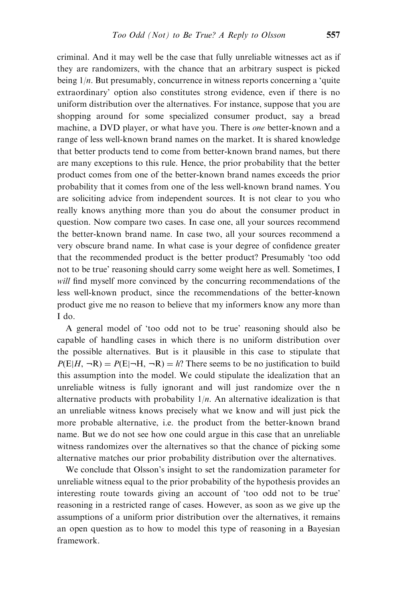criminal. And it may well be the case that fully unreliable witnesses act as if they are randomizers, with the chance that an arbitrary suspect is picked being  $1/n$ . But presumably, concurrence in witness reports concerning a 'quite extraordinary' option also constitutes strong evidence, even if there is no uniform distribution over the alternatives. For instance, suppose that you are shopping around for some specialized consumer product, say a bread machine, a DVD player, or what have you. There is *one* better-known and a range of less well-known brand names on the market. It is shared knowledge that better products tend to come from better-known brand names, but there are many exceptions to this rule. Hence, the prior probability that the better product comes from one of the better-known brand names exceeds the prior probability that it comes from one of the less well-known brand names. You are soliciting advice from independent sources. It is not clear to you who really knows anything more than you do about the consumer product in question. Now compare two cases. In case one, all your sources recommend the better-known brand name. In case two, all your sources recommend a very obscure brand name. In what case is your degree of confidence greater that the recommended product is the better product? Presumably 'too odd not to be true' reasoning should carry some weight here as well. Sometimes, I will find myself more convinced by the concurring recommendations of the less well-known product, since the recommendations of the better-known product give me no reason to believe that my informers know any more than I do.

A general model of 'too odd not to be true' reasoning should also be capable of handling cases in which there is no uniform distribution over the possible alternatives. But is it plausible in this case to stipulate that  $P(E|H, \neg R) = P(E|\neg H, \neg R) = h$ ? There seems to be no justification to build this assumption into the model. We could stipulate the idealization that an unreliable witness is fully ignorant and will just randomize over the n alternative products with probability  $1/n$ . An alternative idealization is that an unreliable witness knows precisely what we know and will just pick the more probable alternative, i.e. the product from the better-known brand name. But we do not see how one could argue in this case that an unreliable witness randomizes over the alternatives so that the chance of picking some alternative matches our prior probability distribution over the alternatives.

We conclude that Olsson's insight to set the randomization parameter for unreliable witness equal to the prior probability of the hypothesis provides an interesting route towards giving an account of 'too odd not to be true' reasoning in a restricted range of cases. However, as soon as we give up the assumptions of a uniform prior distribution over the alternatives, it remains an open question as to how to model this type of reasoning in a Bayesian framework.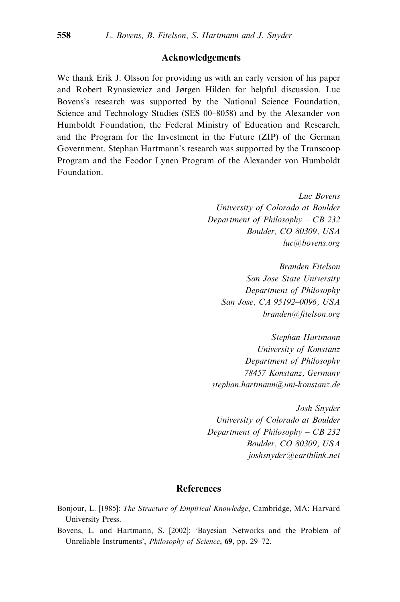### Acknowledgements

We thank Erik J. Olsson for providing us with an early version of his paper and Robert Rynasiewicz and Jørgen Hilden for helpful discussion. Luc Bovens's research was supported by the National Science Foundation, Science and Technology Studies (SES 00–8058) and by the Alexander von Humboldt Foundation, the Federal Ministry of Education and Research, and the Program for the Investment in the Future (ZIP) of the German Government. Stephan Hartmann's research was supported by the Transcoop Program and the Feodor Lynen Program of the Alexander von Humboldt Foundation.

> Luc Bovens University of Colorado at Boulder Department of Philosophy – CB 232 Boulder, CO 80309, USA luc@bovens.org

Branden Fitelson San Jose State University Department of Philosophy San Jose, CA 95192–0096, USA branden@fitelson.org

Stephan Hartmann University of Konstanz Department of Philosophy 78457 Konstanz, Germany stephan.hartmann@uni-konstanz.de

Josh Snyder University of Colorado at Boulder Department of Philosophy – CB 232 Boulder, CO 80309, USA joshsnyder@earthlink.net

### References

Bonjour, L. [1985]: The Structure of Empirical Knowledge, Cambridge, MA: Harvard University Press.

Bovens, L. and Hartmann, S. [2002]: 'Bayesian Networks and the Problem of Unreliable Instruments', Philosophy of Science, 69, pp. 29–72.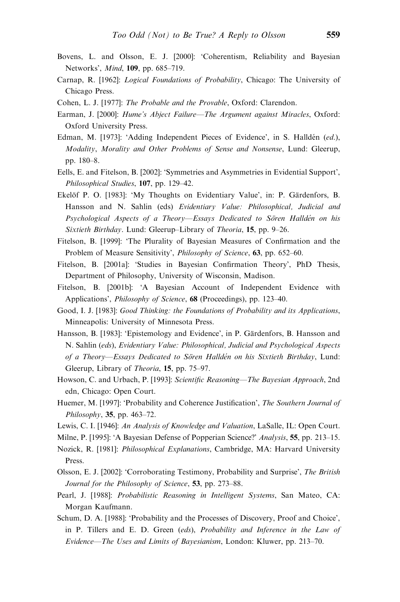- Bovens, L. and Olsson, E. J. [2000]: 'Coherentism, Reliability and Bayesian Networks', Mind, 109, pp. 685–719.
- Carnap, R. [1962]: Logical Foundations of Probability, Chicago: The University of Chicago Press.
- Cohen, L. J. [1977]: The Probable and the Provable, Oxford: Clarendon.
- Earman, J. [2000]: Hume's Abject Failure—The Argument against Miracles, Oxford: Oxford University Press.
- Edman, M. [1973]: 'Adding Independent Pieces of Evidence', in S. Halldén (ed.), Modality, Morality and Other Problems of Sense and Nonsense, Lund: Gleerup, pp. 180–8.
- Eells, E. and Fitelson, B. [2002]: 'Symmetries and Asymmetries in Evidential Support', Philosophical Studies, 107, pp. 129–42.
- Ekelöf P. O. [1983]: 'My Thoughts on Evidentiary Value', in: P. Gärdenfors, B. Hansson and N. Sahlin (eds) Evidentiary Value: Philosophical, Judicial and Psychological Aspects of a Theory—Essays Dedicated to Sören Halldén on his Sixtieth Birthday. Lund: Gleerup–Library of Theoria, 15, pp. 9–26.
- Fitelson, B. [1999]: 'The Plurality of Bayesian Measures of Confirmation and the Problem of Measure Sensitivity', Philosophy of Science, 63, pp. 652-60.
- Fitelson, B. [2001a]: 'Studies in Bayesian Confirmation Theory', PhD Thesis, Department of Philosophy, University of Wisconsin, Madison.
- Fitelson, B. [2001b]: 'A Bayesian Account of Independent Evidence with Applications', *Philosophy of Science*, 68 (Proceedings), pp. 123–40.
- Good, I. J. [1983]: Good Thinking: the Foundations of Probability and its Applications, Minneapolis: University of Minnesota Press.
- Hansson, B. [1983]: 'Epistemology and Evidence', in P. Gärdenfors, B. Hansson and N. Sahlin (eds), Evidentiary Value: Philosophical, Judicial and Psychological Aspects of a Theory—Essays Dedicated to Sören Halldén on his Sixtieth Birthday, Lund: Gleerup, Library of Theoria, 15, pp. 75–97.
- Howson, C. and Urbach, P. [1993]: Scientific Reasoning—The Bayesian Approach, 2nd edn, Chicago: Open Court.
- Huemer, M. [1997]: 'Probability and Coherence Justification', The Southern Journal of Philosophy, 35, pp. 463–72.
- Lewis, C. I. [1946]: An Analysis of Knowledge and Valuation, LaSalle, IL: Open Court.

Milne, P. [1995]: 'A Bayesian Defense of Popperian Science?' Analysis, 55, pp. 213–15.

- Nozick, R. [1981]: Philosophical Explanations, Cambridge, MA: Harvard University Press.
- Olsson, E. J. [2002]: 'Corroborating Testimony, Probability and Surprise', The British Journal for the Philosophy of Science, 53, pp. 273-88.
- Pearl, J. [1988]: Probabilistic Reasoning in Intelligent Systems, San Mateo, CA: Morgan Kaufmann.
- Schum, D. A. [1988]: 'Probability and the Processes of Discovery, Proof and Choice', in P. Tillers and E. D. Green (eds), Probability and Inference in the Law of Evidence—The Uses and Limits of Bayesianism, London: Kluwer, pp. 213–70.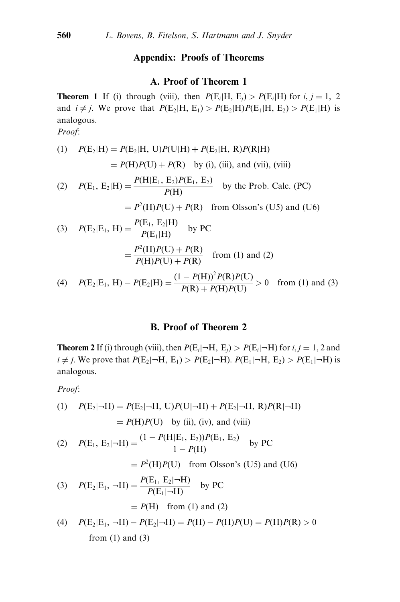### Appendix: Proofs of Theorems

#### A. Proof of Theorem 1

**Theorem 1** If (i) through (viii), then  $P(E_i|H, E_i) > P(E_i|H)$  for i, j = 1, 2 and  $i \neq j$ . We prove that  $P(E_2|H, E_1) > P(E_2|H)P(E_1|H, E_2) > P(E_1|H)$  is analogous.

Proof:

(1) 
$$
P(E_2|H) = P(E_2|H, U)P(U|H) + P(E_2|H, R)P(R|H)
$$
  
\t\t\t $= P(H)P(U) + P(R)$  by (i), (iii), and (vii), (viii)  
\n(2)  $P(E_1, E_2|H) = \frac{P(H|E_1, E_2)P(E_1, E_2)}{P(H)}$  by the Prob. Calc. (PC)  
\t\t\t $= P^2(H)P(U) + P(R)$  from Olsson's (U5) and (U6)  
\n(3)  $P(E_2|E_1, H) = \frac{P(E_1, E_2|H)}{P(E_1|H)}$  by PC  
\t\t\t $= \frac{P^2(H)P(U) + P(R)}{P(H)P(U) + P(R)}$  from (1) and (2)  
\n(4)  $P(E_2|E_1, H) - P(E_2|H) = \frac{(1 - P(H))^2 P(R) P(U)}{P(R) + P(H) P(U)} > 0$  from (1) and (3)

## B. Proof of Theorem 2

**Theorem 2** If (i) through (viii), then  $P(E_i|\neg H, E_i) > P(E_i|\neg H)$  for  $i, j = 1, 2$  and  $i \neq j$ . We prove that  $P(E_2|\neg H, E_1) > P(E_2|\neg H)$ .  $P(E_1|\neg H, E_2) > P(E_1|\neg H)$  is analogous.

Proof:

(1) 
$$
P(E_2|\neg H) = P(E_2|\neg H, U)P(U|\neg H) + P(E_2|\neg H, R)P(R|\neg H)
$$
  
=  $P(H)P(U)$  by (ii), (iv), and (viii)

(2) 
$$
P(E_1, E_2 | \neg H) = \frac{(1 - P(H | E_1, E_2)) P(E_1, E_2)}{1 - P(H)}
$$
 by PC

 $= P<sup>2</sup>(H)P(U)$  from Olsson's (U5) and (U6)

(3) 
$$
P(E_2|E_1, \neg H) = \frac{P(E_1, E_2|\neg H)}{P(E_1|\neg H)}
$$
 by PC  
=  $P(H)$  from (1) and (2)

(4) 
$$
P(E_2|E_1, \neg H) - P(E_2|\neg H) = P(H) - P(H)P(U) = P(H)P(R) > 0
$$
  
from (1) and (3)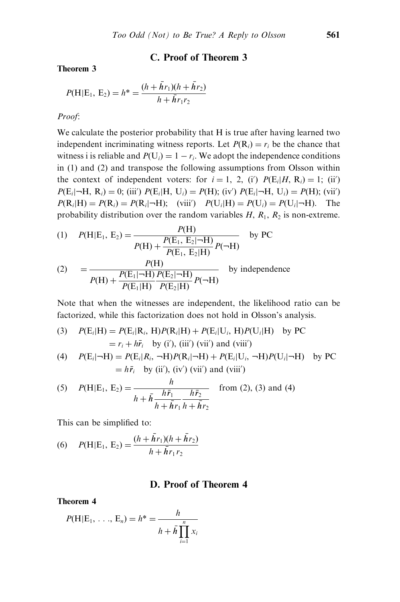## C. Proof of Theorem 3

Theorem 3

$$
P(H|E_1, E_2) = h^* = \frac{(h + \bar{h}r_1)(h + \bar{h}r_2)}{h + \bar{h}r_1r_2}
$$

#### Proof:

We calculate the posterior probability that H is true after having learned two independent incriminating witness reports. Let  $P(\mathbf{R}_i) = r_i$  be the chance that witness i is reliable and  $P(U_i) = 1 - r_i$ . We adopt the independence conditions in (1) and (2) and transpose the following assumptions from Olsson within the context of independent voters: for  $i = 1, 2, (i')$   $P(E_i|H, R_i) = 1$ ; (ii)  $P(E_i | \neg H, R_i) = 0$ ; (iii')  $P(E_i | H, U_i) = P(H)$ ; (iv')  $P(E_i | \neg H, U_i) = P(H)$ ; (vii')  $P(\mathbf{R}_i | \mathbf{H}) = P(\mathbf{R}_i) = P(\mathbf{R}_i | \mathbf{H})$ ; (viii')  $P(\mathbf{U}_i | \mathbf{H}) = P(\mathbf{U}_i) = P(\mathbf{U}_i | \mathbf{H})$ . The probability distribution over the random variables  $H$ ,  $R_1$ ,  $R_2$  is non-extreme.

(1) 
$$
P(H|E_1, E_2) = \frac{P(H)}{P(H) + \frac{P(E_1, E_2|\neg H)}{P(E_1, E_2|H)} P(\neg H)}
$$
 by PC

(2) = 
$$
\frac{P(H)}{P(H) + \frac{P(E_1|\neg H)}{P(E_1|H)} \frac{P(E_2|\neg H)}{P(E_2|H)} P(\neg H)}
$$
 by independence

Note that when the witnesses are independent, the likelihood ratio can be factorized, while this factorization does not hold in Olsson's analysis.

(3) 
$$
P(E_i|H) = P(E_i|R_i, H)P(R_i|H) + P(E_i|U_i, H)P(U_i|H) \text{ by } PC
$$

$$
= r_i + h\bar{r}_i \text{ by (i'), (iii') (vii') and (viii')}
$$

(4) 
$$
P(E_i|\neg H) = P(E_i|R_i, \neg H)P(R_i|\neg H) + P(E_i|U_i, \neg H)P(U_i|\neg H)
$$
 by PC  
=  $h\bar{r}_i$  by (ii'), (iv') (vii') and (viii')

(5) 
$$
P(H|E_1, E_2) = \frac{h}{h + \bar{h} \frac{h\bar{r}_1}{h + \bar{h}r_1} \frac{h\bar{r}_2}{h + \bar{h}r_2}}
$$
 from (2), (3) and (4)

This can be simplified to:

(6) 
$$
P(H|E_1, E_2) = \frac{(h + \bar{h}r_1)(h + \bar{h}r_2)}{h + \bar{h}r_1r_2}
$$

### D. Proof of Theorem 4

Theorem 4

$$
P(H|E_1, ..., E_n) = h^* = \frac{h}{h + \bar{h} \prod_{i=1}^n x_i}
$$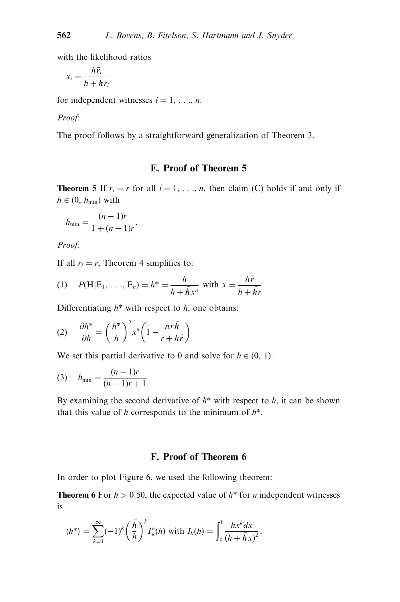with the likelihood ratios

$$
x_i = \frac{h\bar{r}_i}{h + \bar{h}r_i}
$$

for independent witnesses  $i = 1, \ldots, n$ .

#### Proof:

The proof follows by a straightforward generalization of Theorem 3.

# E. Proof of Theorem 5

**Theorem 5** If  $r_i = r$  for all  $i = 1, \ldots, n$ , then claim (C) holds if and only if  $h \in (0, h_{\min})$  with

$$
h_{\min} = \frac{(n-1)r}{1+(n-1)r}.
$$

Proof:

If all  $r_i = r$ , Theorem 4 simplifies to:

(1) 
$$
P(H|E_1, ..., E_n) = h^* = \frac{h}{h + \bar{h}x^n}
$$
 with  $x = \frac{h\bar{r}}{h + \bar{h}r}$ 

Differentiating  $h^*$  with respect to  $h$ , one obtains:

$$
(2) \quad \frac{\partial h^*}{\partial h} = \left(\frac{h^*}{h}\right)^2 x^n \left(1 - \frac{n r \bar{h}}{r + h \bar{r}}\right)
$$

We set this partial derivative to 0 and solve for  $h \in (0, 1)$ :

(3) 
$$
h_{\min} = \frac{(n-1)r}{(n-1)r+1}
$$

By examining the second derivative of  $h^*$  with respect to  $h$ , it can be shown that this value of h corresponds to the minimum of  $h^*$ .

# F. Proof of Theorem 6

In order to plot Figure 6, we used the following theorem:

**Theorem 6** For  $h > 0.50$ , the expected value of  $h^*$  for *n* independent witnesses is

$$
\langle h^*\rangle = \sum_{k=0}^{\infty} (-1)^k \left(\frac{\bar{h}}{h}\right)^k I_k^n(h) \text{ with } I_k(h) = \int_0^1 \frac{hx^k dx}{(h+\bar{h}x)^2}.
$$